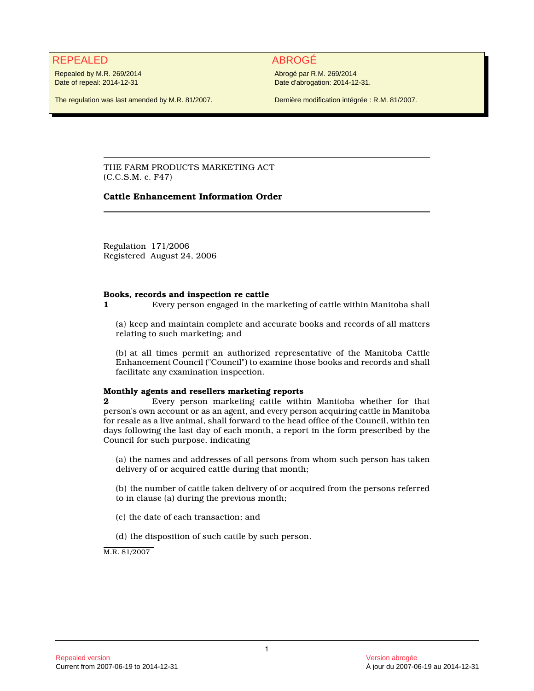# REPEALED ABROGÉ

Repealed by M.R. 269/2014 Date of repeal: 2014-12-31

Abrogé par R.M. 269/2014 Date d'abrogation: 2014-12-31.

The regulation was last amended by M.R. 81/2007.

Dernière modification intégrée : R.M. 81/2007.

THE FARM PRODUCTS MARKETING ACT (C.C.S.M. c. F47)

# **Cattle Enhancement Information Order**

Regulation 171/2006 Registered August 24, 2006

#### **Books, records and inspection re cattle**

**1** Every person engaged in the marketing of cattle within Manitoba shall

(a) keep and maintain complete and accurate books and records of all matters relating to such marketing; and

(b) at all times permit an authorized representative of the Manitoba Cattle Enhancement Council ("Council") to examine those books and records and shall facilitate any examination inspection.

## **Monthly agents and resellers marketing reports**

**2** Every person marketing cattle within Manitoba whether for that person's own account or as an agent, and every person acquiring cattle in Manitoba for resale as a live animal, shall forward to the head office of the Council, within ten days following the last day of each month, a report in the form prescribed by the Council for such purpose, indicating

(a) the names and addresses of all persons from whom such person has taken delivery of or acquired cattle during that month;

(b) the number of cattle taken delivery of or acquired from the persons referred to in clause (a) during the previous month;

(c) the date of each transaction; and

(d) the disposition of such cattle by such person.

M.R. 81/2007